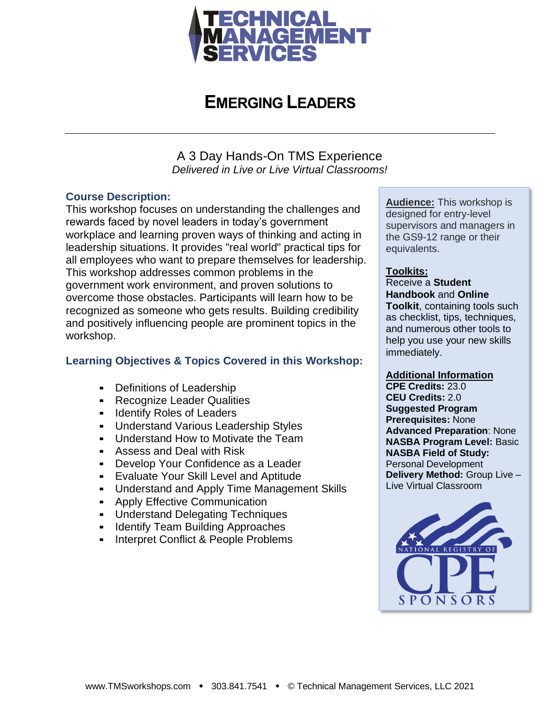

### **EMERGING LEADERS**

A 3 Day Hands-On TMS Experience *Delivered in Live or Live Virtual Classrooms!*

#### **Course Description:**

This workshop focuses on understanding the challenges and rewards faced by novel leaders in today's government workplace and learning proven ways of thinking and acting in leadership situations. It provides "real world" practical tips for all employees who want to prepare themselves for leadership. This workshop addresses common problems in the government work environment, and proven solutions to overcome those obstacles. Participants will learn how to be recognized as someone who gets results. Building credibility and positively influencing people are prominent topics in the workshop.

#### **Learning Objectives & Topics Covered in this Workshop:**

- Definitions of Leadership
- **EXECOGNIZE Leader Qualities**
- **EXECUTE:** Identify Roles of Leaders
- Understand Various Leadership Styles
- **-** Understand How to Motivate the Team
- Assess and Deal with Risk
- **Develop Your Confidence as a Leader**
- **Evaluate Your Skill Level and Aptitude**
- **Understand and Apply Time Management Skills**
- **EXECTIVE Communication**
- Understand Delegating Techniques
- **E** Identify Team Building Approaches
- **E** Interpret Conflict & People Problems

**Audience:** This workshop is designed for entry-level supervisors and managers in the GS9-12 range or their equivalents.

#### **Toolkits:**

Receive a **Student Handbook** and **Online** 

**Toolkit**, containing tools such as checklist, tips, techniques, and numerous other tools to help you use your new skills immediately.

#### **Additional Information**

**CPE Credits:** 23.0 **CEU Credits:** 2.0 **Suggested Program Prerequisites:** None **Advanced Preparation**: None **NASBA Program Level:** Basic **NASBA Field of Study:** Personal Development **Delivery Method:** Group Live – Live Virtual Classroom